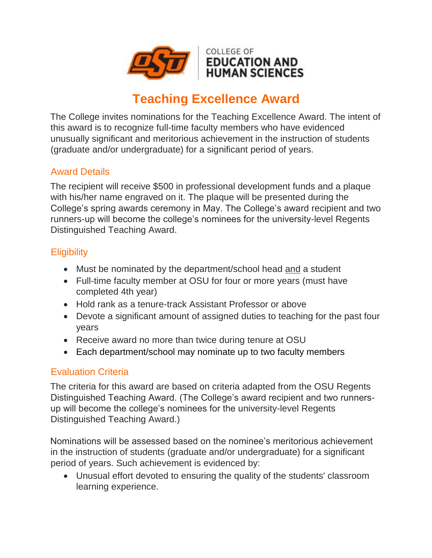

# **Teaching Excellence Award**

The College invites nominations for the Teaching Excellence Award. The intent of this award is to recognize full-time faculty members who have evidenced unusually significant and meritorious achievement in the instruction of students (graduate and/or undergraduate) for a significant period of years.

### Award Details

The recipient will receive \$500 in professional development funds and a plaque with his/her name engraved on it. The plaque will be presented during the College's spring awards ceremony in May. The College's award recipient and two runners-up will become the college's nominees for the university-level Regents Distinguished Teaching Award.

#### **Eligibility**

- Must be nominated by the department/school head and a student
- Full-time faculty member at OSU for four or more years (must have completed 4th year)
- Hold rank as a tenure-track Assistant Professor or above
- Devote a significant amount of assigned duties to teaching for the past four years
- Receive award no more than twice during tenure at OSU
- Each department/school may nominate up to two faculty members

#### Evaluation Criteria

The criteria for this award are based on criteria adapted from the OSU Regents Distinguished Teaching Award. (The College's award recipient and two runnersup will become the college's nominees for the university-level Regents Distinguished Teaching Award.)

Nominations will be assessed based on the nominee's meritorious achievement in the instruction of students (graduate and/or undergraduate) for a significant period of years. Such achievement is evidenced by:

• Unusual effort devoted to ensuring the quality of the students' classroom learning experience.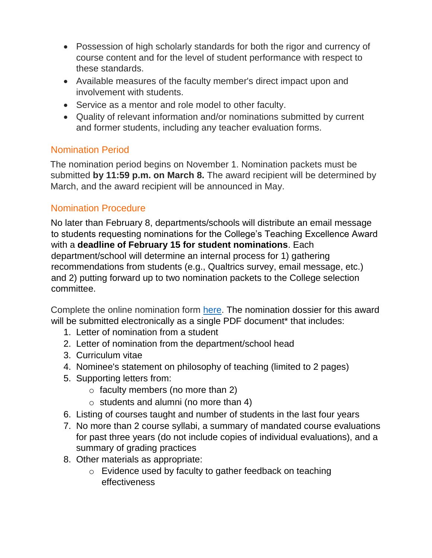- Possession of high scholarly standards for both the rigor and currency of course content and for the level of student performance with respect to these standards.
- Available measures of the faculty member's direct impact upon and involvement with students.
- Service as a mentor and role model to other faculty.
- Quality of relevant information and/or nominations submitted by current and former students, including any teacher evaluation forms.

## Nomination Period

The nomination period begins on November 1. Nomination packets must be submitted **by 11:59 p.m. on March 8.** The award recipient will be determined by March, and the award recipient will be announced in May.

## Nomination Procedure

No later than February 8, departments/schools will distribute an email message to students requesting nominations for the College's Teaching Excellence Award with a **deadline of February 15 for student nominations**. Each department/school will determine an internal process for 1) gathering recommendations from students (e.g., Qualtrics survey, email message, etc.) and 2) putting forward up to two nomination packets to the College selection committee.

Complete the online nomination form [here.](https://education.okstate.edu/faculty-staff-resources/faculty-award-announcements-nomination-submissions.html) The nomination dossier for this award will be submitted electronically as a single PDF document<sup>\*</sup> that includes:

- 1. Letter of nomination from a student
- 2. Letter of nomination from the department/school head
- 3. Curriculum vitae
- 4. Nominee's statement on philosophy of teaching (limited to 2 pages)
- 5. Supporting letters from:
	- $\circ$  faculty members (no more than 2)
	- o students and alumni (no more than 4)
- 6. Listing of courses taught and number of students in the last four years
- 7. No more than 2 course syllabi, a summary of mandated course evaluations for past three years (do not include copies of individual evaluations), and a summary of grading practices
- 8. Other materials as appropriate:
	- o Evidence used by faculty to gather feedback on teaching effectiveness